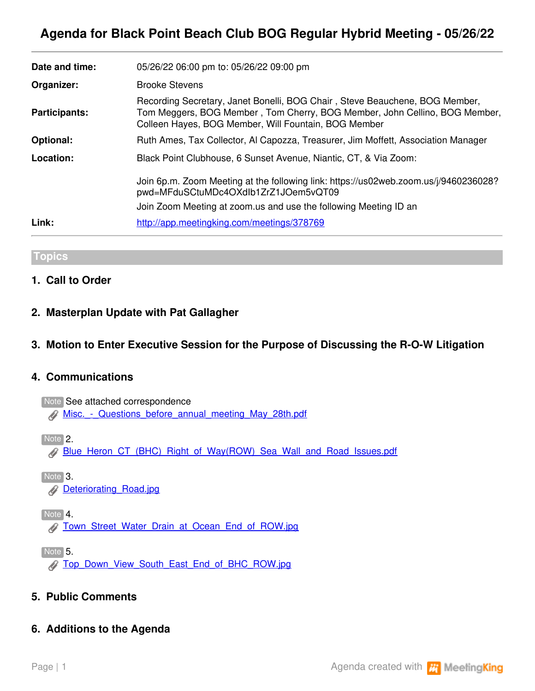# **Agenda for Black Point Beach Club BOG Regular Hybrid Meeting - 05/26/22**

| Date and time:       | 05/26/22 06:00 pm to: 05/26/22 09:00 pm                                                                                                                                                                           |
|----------------------|-------------------------------------------------------------------------------------------------------------------------------------------------------------------------------------------------------------------|
| Organizer:           | <b>Brooke Stevens</b>                                                                                                                                                                                             |
| <b>Participants:</b> | Recording Secretary, Janet Bonelli, BOG Chair, Steve Beauchene, BOG Member,<br>Tom Meggers, BOG Member, Tom Cherry, BOG Member, John Cellino, BOG Member,<br>Colleen Hayes, BOG Member, Will Fountain, BOG Member |
| <b>Optional:</b>     | Ruth Ames, Tax Collector, Al Capozza, Treasurer, Jim Moffett, Association Manager                                                                                                                                 |
| Location:            | Black Point Clubhouse, 6 Sunset Avenue, Niantic, CT, & Via Zoom:                                                                                                                                                  |
|                      | Join 6p.m. Zoom Meeting at the following link: https://us02web.zoom.us/j/9460236028?<br>pwd=MFduSCtuMDc4OXdlb1ZrZ1JOem5vQT09                                                                                      |
|                      | Join Zoom Meeting at zoom us and use the following Meeting ID an                                                                                                                                                  |
| Link:                | http://app.meetingking.com/meetings/378769                                                                                                                                                                        |

#### **Topics**

### **1. Call to Order**

### **2. Masterplan Update with Pat Gallagher**

### **3. Motion to Enter Executive Session for the Purpose of Discussing the R-O-W Litigation**

#### **4. Communications**

Note See attached correspondence [Misc.\\_-\\_Questions\\_before\\_annual\\_meeting\\_May\\_28th.pdf](https://app.meetingking.com/uploads/attachments/254860-Misc._-_Questions_before_annual_meeting_May_28th-dfa7a086a873ab262666d9fc1809dd93629f0112.pdf?1653448767)

Note 2.

[Blue\\_Heron\\_CT\\_\(BHC\)\\_Right\\_of\\_Way\(ROW\)\\_Sea\\_Wall\\_and\\_Road\\_Issues.pdf](https://app.meetingking.com/uploads/attachments/254871-Blue_Heron_CT_%28BHC%29_Right_of_Way%28ROW%29_Sea_Wall_and_Road_Issues-289323f43b3b1de6796222cdb32a499a777f1c32.pdf?1653450504)

 $\sqrt{\frac{3}{10}}$ **Deteriorating Road.jpg** 

 $\sqrt{\frac{1}{100}}$  Note  $\sqrt{\frac{4}{100}}$ 

**[Town\\_Street\\_Water\\_Drain\\_at\\_Ocean\\_End\\_of\\_ROW.jpg](https://app.meetingking.com/uploads/attachments/254873-Town_Street_Water_Drain_at_Ocean_End_of_ROW-4eb6e1e8ac4cbeca7537e41085439b3a70384645.jpg?1653450552)** 

Note 5.

[Top\\_Down\\_View\\_South\\_East\\_End\\_of\\_BHC\\_ROW.jpg](https://app.meetingking.com/uploads/attachments/254874-Top_Down_View_South_East_End_of_BHC_ROW-96a87c88678dfaab56225b645dc7944aa1620c4f.jpg?1653450574)

### **5. Public Comments**

### **6. Additions to the Agenda**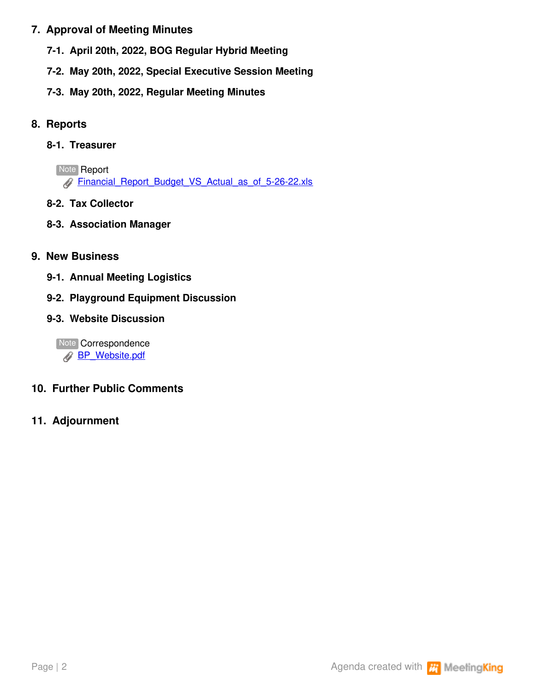# **7. Approval of Meeting Minutes**

- **7-1. April 20th, 2022, BOG Regular Hybrid Meeting**
- **7-2. May 20th, 2022, Special Executive Session Meeting**
- **7-3. May 20th, 2022, Regular Meeting Minutes**

# **8. Reports**

# **8-1. Treasurer**

**Note Report** [Financial\\_Report\\_Budget\\_VS\\_Actual\\_as\\_of\\_5-26-22.xls](https://app.meetingking.com/uploads/attachments/255012-Financial_Report_Budget_VS_Actual_as_of_5-26-22-9ce9fbfa8b9bd4324cde19c24f6a6347798db3b0.xls?1653502856)

**8-2. Tax Collector**

# **8-3. Association Manager**

# **9. New Business**

- **9-1. Annual Meeting Logistics**
- **9-2. Playground Equipment Discussion**

# **9-3. Website Discussion**

Note Correspondence **[BP\\_Website.pdf](https://app.meetingking.com/uploads/attachments/255011-BP_Website-324fae186b5a8962e3af47d98d622ea1fe101d17.pdf?1653502755)** 

# **10. Further Public Comments**

# **11. Adjournment**